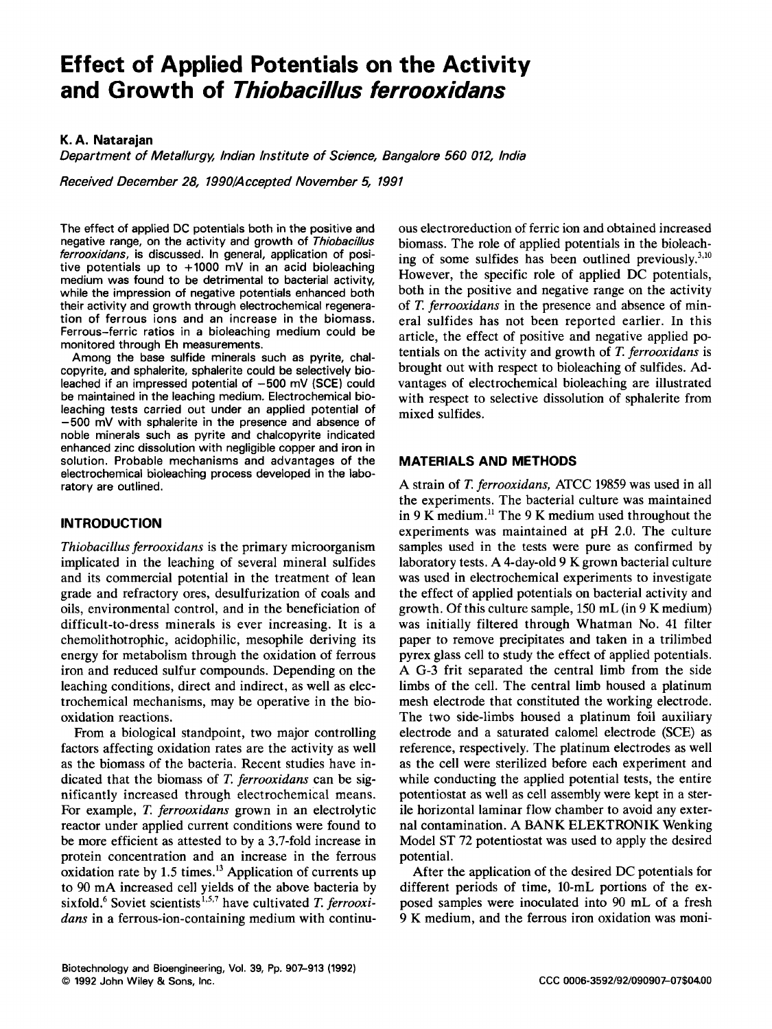# **Effect of Applied Potentials on the Activity and Growth of** *Thiobacillus ferrooxidans*

# **K. A. Natarajan**

*Department of Metallurgy, Indian Institute of Science, Bangalore 560 012, India* 

*Received December 28, 79901A ccepted November 5, 1991* 

The effect of applied **DC** potentials both in the positive and negative range, on the activity and growth of *Thiobacillus ferrooxidans,* is discussed. In general, application of positive potentials up to **+I000** mV in an acid bioleaching medium was found to be detrimental to bacterial activity, while the impression of negative potentials enhanced both their activity and growth through electrochemical regeneration of ferrous ions and an increase in the biomass. Ferrous-ferric ratios in a bioleaching medium could be monitored through Eh measurements.

Among the base sulfide minerals such as pyrite, chalcopyrite, and sphalerite, sphalerite could be selectively bioleached if an impressed potential of  $-500$  mV (SCE) could be maintained in the leaching medium. Electrochemical bioleaching tests carried out under an applied potential of -500 mV with sphalerite in the presence and absence of noble minerals such as pyrite and chalcopyrite indicated enhanced zinc dissolution with negligible copper and iron in solution. Probable mechanisms and advantages of the electrochemical bioleaching process developed in the laboratory are outlined.

## **INTRODUCTION**

*Thiobacillus ferrooxidans* is the primary microorganism implicated in the leaching of several mineral sulfides and its commercial potential in the treatment of lean grade and refractory ores, desulfurization of coals and oils, environmental control, and in the beneficiation of difficult-to-dress minerals is ever increasing. It is a chemolithotrophic, acidophilic, mesophile deriving its energy for metabolism through the oxidation of ferrous iron and reduced sulfur compounds. Depending on the leaching conditions, direct and indirect, as well as electrochemical mechanisms, may be operative in the biooxidation reactions.

From a biological standpoint, two major controlling factors affecting oxidation rates are the activity as well as the biomass of the bacteria. Recent studies have indicated that the biomass of *T. ferrooxidans* can be significantly increased through electrochemical means. For example, *T. ferrooxidans* grown in an electrolytic reactor under applied current conditions were found to be more efficient as attested to by a 3.7-fold increase in protein concentration and an increase in the ferrous oxidation rate by  $1.5$  times.<sup>13</sup> Application of currents up to **90** mA increased cell yields of the above bacteria by  $sixfold.$ <sup>6</sup> Soviet scientists<sup>1,5,7</sup> have cultivated *T. ferrooxiduns* in a ferrous-ion-containing medium with continuous electroreduction of ferric ion and obtained increased biomass. The role of applied potentials in the bioleaching of some sulfides has been outlined previously. $^{3,10}$ However, the specific role of applied **DC** potentials, both in the positive and negative range on the activity of *T. ferrooxidans* in the presence and absence of mineral sulfides has not been reported earlier. In this article, the effect of positive and negative applied potentials on the activity and growth of *T. ferrooxidans* is brought out with respect to bioleaching of sulfides. Advantages of electrochemical bioleaching are illustrated with respect to selective dissolution of sphalerite from mixed sulfides.

## **MATERIALS AND METHODS**

**A** strain of *T. ferrooxidans,* ATCC **19859** was used in all the experiments. The bacterial culture was maintained in **9** K medium." The 9 K medium used throughout the experiments was maintained at pH 2.0. The culture samples used in the tests were pure as confirmed by laboratory tests. A 4-day-old **9** K grown bacterial culture was used in electrochemical experiments to investigate the effect of applied potentials on bacterial activity and growth. Of this culture sample, 150 mL (in **9** K medium) was initially filtered through Whatman No. 41 filter paper to remove precipitates and taken in a trilimbed pyrex glass cell to study the effect of applied potentials. A *G-3* frit separated the central limb from the side limbs of the cell. The central limb housed a platinum mesh electrode that constituted the working electrode. The two side-limbs housed a platinum foil auxiliary electrode and a saturated calomel electrode (SCE) as reference, respectively. The platinum electrodes as well as the cell were sterilized before each experiment and while conducting the applied potential tests, the entire potentiostat as well as cell assembly were kept in a sterile horizontal laminar flow chamber to avoid any external contamination. A BANK ELEKTRONIK Wenking Model ST **72** potentiostat was used to apply the desired potential.

After the application of the desired DC potentials for different periods of time, 10-mL portions of the exposed samples were inoculated into **90** mL of a fresh **9** K medium, and the ferrous iron oxidation was moni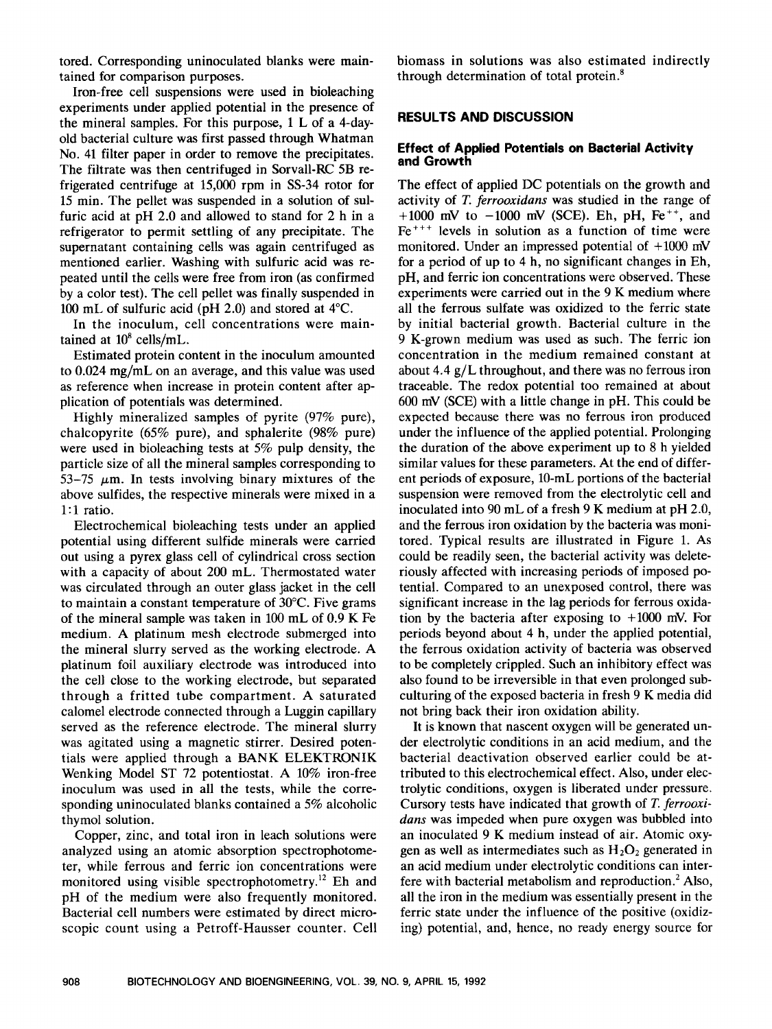tored. Corresponding uninoculated blanks were maintained for comparison purposes.

Iron-free cell suspensions were used in bioleaching experiments under applied potential in the presence of the mineral samples. For this purpose, 1 L of a 4-dayold bacterial culture was first passed through Whatman No. 41 filter paper in order to remove the precipitates. The filtrate was then centrifuged in Sorvall-RC 5B refrigerated centrifuge at 15,000 rpm in SS-34 rotor for 15 min. The pellet was suspended in a solution of sulfuric acid at pH 2.0 and allowed to stand for 2 h in a refrigerator to permit settling of any precipitate. The supernatant containing cells was again centrifuged as mentioned earlier. Washing with sulfuric acid was repeated until the cells were free from iron (as confirmed by a color test). The cell pellet was finally suspended in 100 mL of sulfuric acid (pH 2.0) and stored at 4°C.

In the inoculum, cell concentrations were maintained at **lo8** cells/mL.

Estimated protein content in the inoculum amounted to 0.024 mg/mL on an average, and this value was used as reference when increase in protein content after application of potentials was determined.

Highly mineralized samples of pyrite (97% pure), chalcopyrite (65% pure), and sphalerite (98% pure) were used in bioleaching tests at 5% pulp density, the particle size of all the mineral samples corresponding to 53-75  $\mu$ m. In tests involving binary mixtures of the above sulfides, the respective minerals were mixed in a 1:l ratio.

Electrochemical bioleaching tests under an applied potential using different sulfide minerals were carried out using a pyrex glass cell of cylindrical cross section with a capacity of about 200 mL. Thermostated water was circulated through an outer glass jacket in the cell to maintain a constant temperature of 30°C. Five grams of the mineral sample was taken in 100 mL of 0.9 K Fe medium. A platinum mesh electrode submerged into the mineral slurry served as the working electrode. A platinum foil auxiliary electrode was introduced into the cell close to the working electrode, but separated through a fritted tube compartment. A saturated calomel electrode connected through a Luggin capillary served as the reference electrode. The mineral slurry was agitated using a magnetic stirrer. Desired potentials were applied through a BANK ELEKTRONIK Wenking Model **ST** 72 potentiostat. A 10% iron-free inoculum was used in all the tests, while the corresponding uninoculated blanks contained a 5% alcoholic thymol solution.

Copper, zinc, and total iron in leach solutions were analyzed using an atomic absorption spectrophotometer, while ferrous and ferric ion concentrations were monitored using visible spectrophotometry.<sup>12</sup> Eh and pH of the medium were also frequently monitored. Bacterial cell numbers were estimated by direct microscopic count using a Petroff-Hausser counter. Cell biomass in solutions was also estimated indirectly through determination of total protein.'

## **RESULTS AND DISCUSSION**

#### **Effect of Applied Potentials on Bacterial Activity and Growth**

The effect of applied DC potentials on the growth and activity of *T. ferrooxidans* was studied in the range of +1000 mV to  $-1000$  mV (SCE). Eh, pH, Fe<sup>++</sup>, and  $Fe<sup>+++</sup>$  levels in solution as a function of time were monitored. Under an impressed potential of  $+1000$  mV for a period of up to **4** h, no significant changes in Eh, pH, and ferric ion concentrations were observed. These experiments were carried out in the 9 K medium where all the ferrous sulfate was oxidized to the ferric state by initial bacterial growth. Bacterial culture in the 9 K-grown medium was used as such. The ferric ion concentration in the medium remained constant at about 4.4 g/L throughout, and there was no ferrous iron traceable. The redox potential too remained at about 600 mV (SCE) with a little change in pH. This could be expected because there was no ferrous iron produced under the influence of the applied potential. Prolonging the duration of the above experiment up to 8 h yielded similar values for these parameters. At the end of different periods of exposure, 10-mL portions of the bacterial suspension were removed from the electrolytic cell and inoculated into 90 mL of a fresh 9 K medium at pH 2.0, and the ferrous iron oxidation by the bacteria was monitored. Typical results are illustrated in Figure 1. As could be readily seen, the bacterial activity was deleteriously affected with increasing periods of imposed potential. Compared to an unexposed control, there was significant increase in the lag periods for ferrous oxidation by the bacteria after exposing to  $+1000$  mV. For periods beyond about **4** h, under the applied potential, the ferrous oxidation activity of bacteria was observed to be completely crippled. Such an inhibitory effect was also found to be irreversible in that even prolonged subculturing of the exposed bacteria in fresh 9 K media did not bring back their iron oxidation ability.

It is known that nascent oxygen will be generated under electrolytic conditions in an acid medium, and the bacterial deactivation observed earlier could be attributed to this electrochemical effect. Also, under electrolytic conditions, oxygen is liberated under pressure. Cursory tests have indicated that growth of *T. ferrooxi*dans was impeded when pure oxygen was bubbled into an inoculated 9 K medium instead of air. Atomic oxygen as well as intermediates such as  $H_2O_2$  generated in an acid medium under electrolytic conditions can interfere with bacterial metabolism and reproduction.' Also, all the iron in the medium was essentially present in the ferric state under the influence of the positive (oxidizing) potential, and, hence, no ready energy source for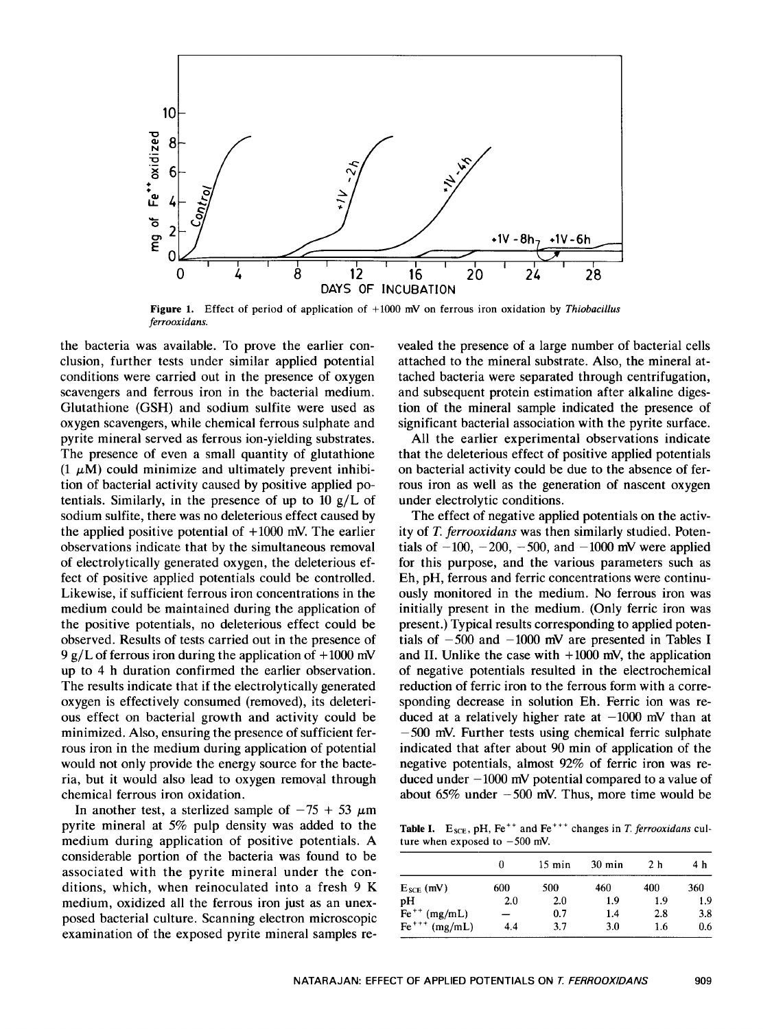

*ferrooxidans.*  **Figure 1. Effect of period of application of** +lo00 **mV** on **ferrous iron oxidation by** *Thiobacillus* 

the bacteria was available. To prove the earlier conclusion, further tests under similar applied potential conditions were carried out in the presence of oxygen scavengers and ferrous iron in the bacterial medium. Glutathione (GSH) and sodium sulfite were used as oxygen scavengers, while chemical ferrous sulphate and pyrite mineral served as ferrous ion-yielding substrates. The presence of even a small quantity **of** glutathione  $(1 \mu M)$  could minimize and ultimately prevent inhibition of bacterial activity caused by positive applied potentials. Similarly, in the presence of up to  $10 \text{ g/L}$  of sodium sulfite, there was no deleterious effect caused by the applied positive potential of  $+1000$  mV. The earlier observations indicate that by the simultaneous removal of electrolytically generated oxygen, the deleterious effect of positive applied potentials could be controlled. Likewise, if sufficient ferrous iron concentrations in the medium could be maintained during the application of the positive potentials, no deleterious effect could be observed. Results of tests carried out in the presence of 9 g/L of ferrous iron during the application of  $+1000$  mV up to **4** h duration confirmed the earlier observation. The results indicate that if the electrolytically generated oxygen is effectively consumed (removed), its deleterious effect on bacterial growth and activity could be minimized. Also, ensuring the presence of sufficient ferrous iron in the medium during application of potential would not only provide the energy source for the bacteria, but it would also lead to oxygen removal through chemical ferrous iron oxidation.

In another test, a sterlized sample of  $-75 + 53 \mu m$ pyrite mineral at *5%* pulp density was added to the medium during application of positive potentials. A considerable portion of the bacteria was found to be associated with the pyrite mineral under the conditions, which, when reinoculated into a fresh 9 K medium, oxidized all the ferrous iron just as an unexposed bacterial culture. Scanning electron microscopic examination of the exposed pyrite mineral samples revealed the presence of a large number of bacterial cells attached to the mineral substrate. Also, the mineral attached bacteria were separated through centrifugation, and subsequent protein estimation after alkaline digestion of the mineral sample indicated the presence of significant bacterial association with the pyrite surface.

All the earlier experimental observations indicate that the deleterious effect of positive applied potentials on bacterial activity could be due to the absence of ferrous iron as well as the generation of nascent oxygen under electrolytic conditions.

The effect of negative applied potentials on the activity of *T. ferrooxidans* was then similarly studied. Potentials of  $-100$ ,  $-200$ ,  $-500$ , and  $-1000$  mV were applied for this purpose, and the various parameters such as Eh, pH, ferrous and ferric concentrations were continuously monitored in the medium. No ferrous iron was initially present in the medium. (Only ferric iron was present .) Typical results corresponding to applied potentials of  $-500$  and  $-1000$  mV are presented in Tables I and II. Unlike the case with  $+1000$  mV, the application of negative potentials resulted in the electrochemical reduction of ferric iron to the ferrous form with a corresponding decrease in solution Eh. Ferric ion was reduced at a relatively higher rate at  $-1000$  mV than at -500 mV. Further tests using chemical ferric sulphate indicated that after about 90 min of application of the negative potentials, almost 92% of ferric iron was reduced under  $-1000$  mV potential compared to a value of about  $65\%$  under  $-500$  mV. Thus, more time would be

**Table I.**  $E_{\text{SCE}}$ , pH,  $\text{Fe}^{++}$  and  $\text{Fe}^{+++}$  changes in *T. ferrooxidans* culture when exposed to  $-500$  mV.

|                           | 0   | $15 \text{ min}$ | $30 \text{ min}$ | 2 <sub>h</sub> | 4 h |
|---------------------------|-----|------------------|------------------|----------------|-----|
| $E_{SCE}$ (mV)            | 600 | 500              | 460              | 400            | 360 |
| pН                        | 2.0 | 2.0              | 1.9              | 1.9            | 1.9 |
| $Fe^{++}$ (mg/mL)         |     | 0.7              | 1.4              | 2.8            | 3.8 |
| $\text{Fe}^{+++}$ (mg/mL) | 4.4 | 3.7              | 3.0              | 1.6            | 0.6 |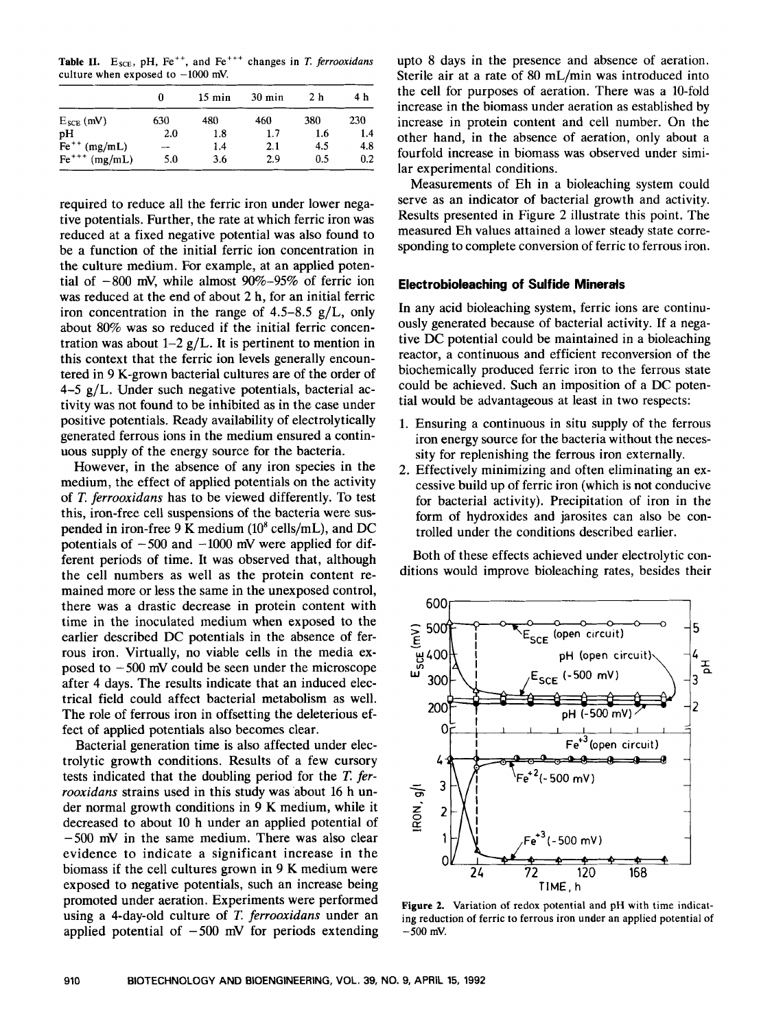**Table II.**  $E_{\text{SCE}}$ , pH,  $\text{Fe}^{++}$ , and  $\text{Fe}^{+++}$  changes in *T. ferrooxidans* culture when exposed to  $-1000$  mV.

|                          |     | $15 \text{ min}$ | $30 \text{ min}$ | 2 h | 4 h |
|--------------------------|-----|------------------|------------------|-----|-----|
| $E_{SCE}$ (mV)           | 630 | 480              | 460              | 380 | 230 |
| pН                       | 2.0 | 1.8              | 1.7              | 1.6 | 1.4 |
| $\text{Fe}^{++}$ (mg/mL) |     | 1.4              | 2.1              | 4.5 | 4.8 |
| $Fe^{+++}$ (mg/mL)       | 5.0 | 3.6              | 2.9              | 0.5 | 0.2 |

required to reduce all the ferric iron under lower negative potentials. Further, the rate at which ferric iron was reduced at a fixed negative potential was also found to be a function of the initial ferric ion concentration in the culture medium. For example, at an applied potential of  $-800$  mV, while almost  $90\% - 95\%$  of ferric ion was reduced at the end of about **2** h, for an initial ferric iron concentration in the range of  $4.5-8.5$  g/L, only about 80% was so reduced if the initial ferric concentration was about  $1-2$   $g/L$ . It is pertinent to mention in this context that the ferric ion levels generally encountered in 9 K-grown bacterial cultures are of the order of  $4-5$  g/L. Under such negative potentials, bacterial activity was not found to be inhibited as in the case under positive potentials. Ready availability of electrolytically generated ferrous ions in the medium ensured a continuous supply of the energy source for the bacteria.

However, in the absence of any iron species in the medium, the effect of applied potentials on the activity of *T. ferrooxidans* has to be viewed differently. To test this, iron-free cell suspensions of the bacteria were suspended in iron-free 9 K medium  $(10^8 \text{ cells/mL})$ , and DC potentials of  $-500$  and  $-1000$  mV were applied for different periods of time. It was observed that, although the cell numbers as well as the protein content remained more or less the same in the unexposed control, there was a drastic decrease in protein content with time in the inoculated medium when exposed to the earlier described DC potentials in the absence of ferrous iron. Virtually, no viable cells in the media exposed to  $-500$  mV could be seen under the microscope after **4** days. The results indicate that an induced electrical field could affect bacterial metabolism as well. The role of ferrous iron in offsetting the deleterious effect of applied potentials also becomes clear.

Bacterial generation time is also affected under electrolytic growth conditions. Results of a few cursory tests indicated that the doubling period for the T. *ferrooxidans* strains used in this study was about 16 h under normal growth conditions in 9 K medium, while it decreased to about 10 h under an applied potential of -500 mV in the same medium. There was also clear evidence to indicate a significant increase in the biomass if the cell cultures grown in 9 K medium were exposed to negative potentials, such an increase being promoted under aeration. Experiments were performed using a 4-day-old culture of T. *ferrooxiduns* under an applied potential of  $-500$  mV for periods extending upto 8 days in the presence and absence of aeration. Sterile air at a rate of 80 mL/min was introduced into the cell for purposes of aeration. There was a 10-fold increase in the biomass under aeration as established by increase in protein content and cell number. On the other hand, in the absence of aeration, only about a fourfold increase in biomass was observed under similar experimental conditions.

Measurements of Eh in a bioleaching system could serve as an indicator of bacterial growth and activity. Results presented in Figure 2 illustrate this point. The measured Eh values attained a lower steady state corresponding to complete conversion of ferric to ferrous iron.

#### **Electrobioleaching of Sulfide Minerals**

In any acid bioleaching system, ferric ions are continuously generated because of bacterial activity. If a negative DC potential could be maintained in a bioleaching reactor, a continuous and efficient reconversion of the biochemically produced ferric iron to the ferrous state could be achieved. Such an imposition of a DC potential would be advantageous at least in two respects:

- 1. Ensuring a continuous in situ supply of the ferrous iron energy source for the bacteria without the necessity for replenishing the ferrous iron externally.
- 2. Effectively minimizing and often eliminating an excessive build up of ferric iron (which is not conducive for bacterial activity). Precipitation of iron in the form of hydroxides and jarosites can also be controlled under the conditions described earlier.

Both of these effects achieved under electrolytic conditions would improve bioleaching rates, besides their



**Figure 2. Variation** of **redox potential and pH with time indicating reduction of ferric to ferrous iron under an applied potential** of *-500* **mV.**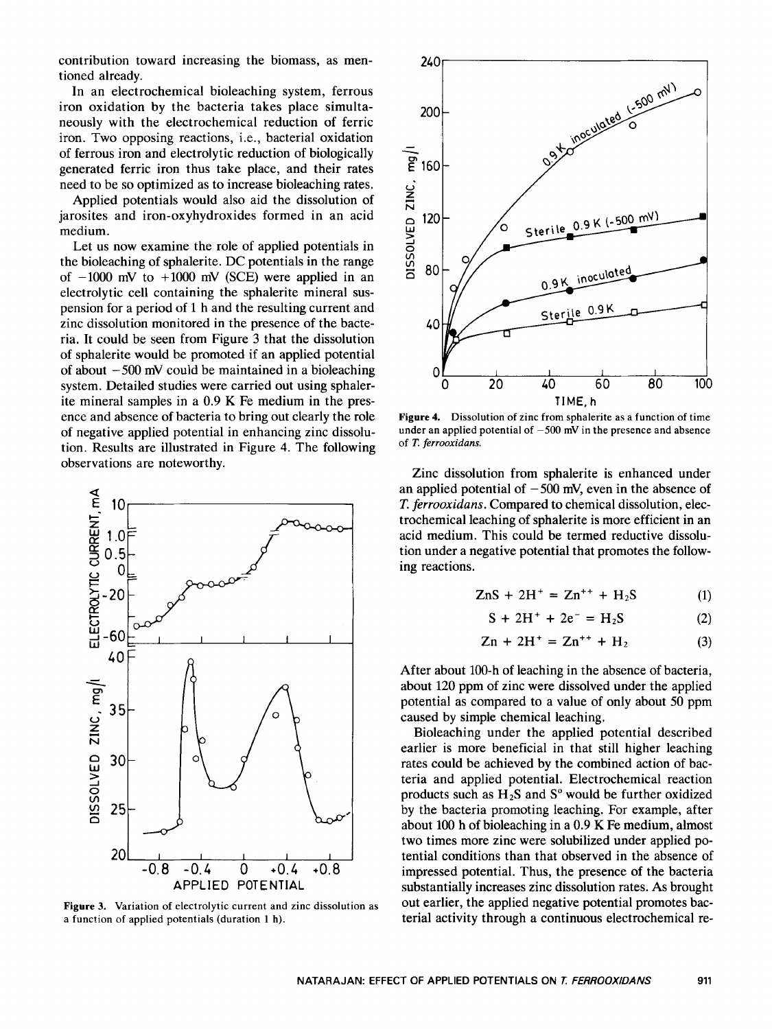contribution toward increasing the biomass, as mentioned already.

In an electrochemical bioleaching system, ferrous iron oxidation by the bacteria takes place simultaneously with the electrochemical reduction of ferric iron. Two opposing reactions, i.e., bacterial oxidation of ferrous iron and electrolytic reduction of biologically generated ferric iron thus take place, and their rates need to be so optimized as to increase bioleaching rates.

Applied potentials would also aid the dissolution of jarosites and iron-oxyhydroxides formed in an acid medium.

Let us now examine the role of applied potentials in the bioleaching of sphalerite. DC potentials in the range of  $-1000$  mV to  $+1000$  mV (SCE) were applied in an electrolytic cell containing the sphalerite mineral suspension for a period of 1 h and the resulting current and zinc dissolution monitored in the presence of the bacteria. It could be seen from Figure 3 that the dissolution of sphalerite would be promoted if an applied potential of about  $-500$  mV could be maintained in a bioleaching system. Detailed studies were carried out using sphalerite mineral samples in a 0.9 K Fe medium in the presence and absence of bacteria to bring out clearly the role of negative applied potential in enhancing zinc dissolution. Results are illustrated in Figure **4.** The following observations are noteworthy.



**Figure 3.** Variation **of** electrolytic current and zinc dissolution as a function of applied potentials (duration 1 h).



**Figure 4.** Dissolution of zinc from sphalerite as a function of time under an applied potential of  $-500$  mV in the presence and absence of *T.* ferrooxidans.

Zinc dissolution from sphalerite is enhanced under an applied potential of  $-500$  mV, even in the absence of *T. ferrooxidans.* Compared to chemical dissolution, electrochemical leaching of sphalerite is more efficient in an acid medium. This could be termed reductive dissolution under a negative potential that promotes the following reactions.

$$
ZnS + 2H^{+} = Zn^{++} + H_{2}S
$$
 (1)

$$
S + 2H^{+} + 2e^{-} = H_{2}S
$$
 (2)

$$
Zn + 2H^{+} = Zn^{++} + H_2
$$
 (3)

After about 100-h of leaching in the absence of bacteria, about 120 ppm of zinc were dissolved under the applied potential as compared to a value of only about 50 ppm caused by simple chemical leaching.

 $20\Box$ Bioleaching under the applied potential described earlier is more beneficial in that still higher leaching rates could be achieved by the combined action of bacteria and applied potential. Electrochemical reaction products such as H2S and *So* would be further oxidized by the bacteria promoting leaching. For example, after about 100 h of bioleaching in a 0.9 K Fe medium, almost two times more zinc were solubilized under applied poimpressed potential. Thus, the presence of the bacteria substantially increases zinc dissolution rates. As brought out earlier, the applied negative potential promotes bacterial activity through a continuous electrochemical re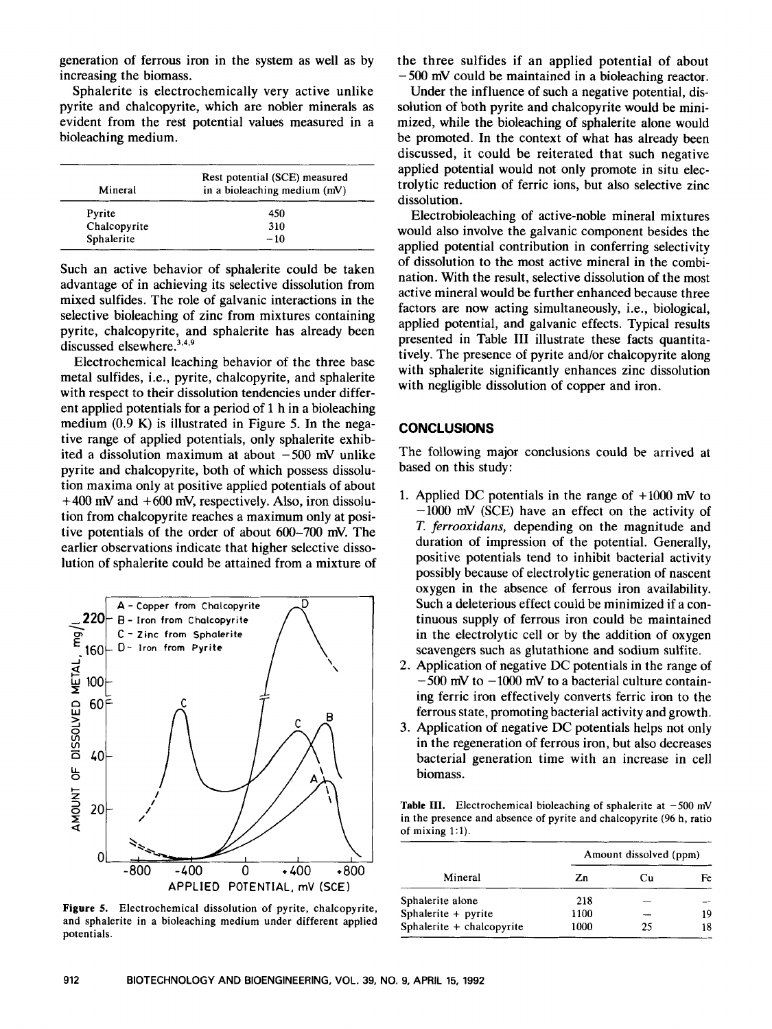generation of ferrous iron in the system as well as by increasing the biomass.

Sphalerite is electrochemically very active unlike pyrite and chalcopyrite, which are nobler minerals as evident from the rest potential values measured in a bioleaching medium.

| Mineral      | Rest potential (SCE) measured<br>in a bioleaching medium (mV) |  |  |
|--------------|---------------------------------------------------------------|--|--|
| Pyrite       | 450                                                           |  |  |
| Chalcopyrite | 310                                                           |  |  |
| Sphalerite   | $-10$                                                         |  |  |

Such an active behavior of sphalerite could be taken advantage of in achieving its selective dissolution from mixed sulfides. The role of galvanic interactions in the selective bioleaching of zinc from mixtures containing pyrite, chalcopyrite, and sphalerite has already been discussed elsewhere. $^{3,4,9}$ 

Electrochemical leaching behavior of the three base metal sulfides, i.e., pyrite, chalcopyrite, and sphalerite with respect to their dissolution tendencies under different applied potentials for a period of 1 h in a bioleaching medium (0.9 K) is illustrated in Figure *5.* In the negative range of applied potentials, only sphalerite exhibited a dissolution maximum at about **-500** mV unlike pyrite and chalcopyrite, both of which possess dissolution maxima only at positive applied potentials of about **+400** mV and +600 mV, respectively. Also, iron dissolution from chalcopyrite reaches a maximum only at positive potentials of the order of about 600-700 mV. The earlier observations indicate that higher selective dissolution of sphalerite could be attained from a mixture of



**Figure 5. Electrochemical dissolution of pyrite, chalcopyrite, and sphalerite in a bioleaching medium under different applied potentials.** 

the three sulfides if an applied potential of about - *500* mV could be maintained in a bioleaching reactor.

Under the influence of such a negative potential, dissolution of both pyrite and chalcopyrite would be minimized, while the bioleaching of sphalerite alone would be promoted. In the context of what has already been discussed, it could be reiterated that such negative applied potential would not only promote in situ electrolytic reduction of ferric ions, but also selective zinc dissolution.

Electrobioleaching of active-noble mineral mixtures would also involve the galvanic component besides the applied potential contribution in conferring selectivity of dissolution to the most active mineral in the combination. With the result, selective dissolution of the most active mineral would be further enhanced because three factors are now acting simultaneously, i.e., biological, applied potential, and galvanic effects. Typical results presented in Table I11 illustrate these facts quantitatively. The presence of pyrite and/or chalcopyrite along with sphalerite significantly enhances zinc dissolution with negligible dissolution of copper and iron.

## **CONCLUSIONS**

The following major conclusions could be arrived at based on this study:

- 1. Applied **DC** potentials in the range of +lo00 mV to -1000 mV **(SCE)** have an effect on the activity of *T.* ferrooxidans, depending on the magnitude and duration of impression of the potential. Generally, positive potentials tend to inhibit bacterial activity possibly because of electrolytic generation of nascent oxygen in the absence of ferrous iron availability. Such a deleterious effect could be minimized if a continuous supply of ferrous iron could be maintained in the electrolytic cell or by the addition of oxygen scavengers such as glutathione and sodium sulfite.
- 2. Application of negative **DC** potentials in the range of  $-500$  mV to  $-1000$  mV to a bacterial culture containing ferric iron effectively converts ferric iron to the ferrous state, promoting bacterial activity and growth.
- **3.**  Application of negative **DC** potentials helps not only in the regeneration of ferrous iron, but also decreases bacterial generation time with an increase in cell biomass.

**Table III.** Electrochemical bioleaching of sphalerite at  $-500$  mV **in the presence and absence of pyrite and chalcopyrite (96 h, ratio of mixing 1:l).** 

|                           | Amount dissolved (ppm) |    |    |  |  |
|---------------------------|------------------------|----|----|--|--|
| Mineral                   | Zn                     | Сu | Fe |  |  |
| Sphalerite alone          | 218                    |    |    |  |  |
| Sphalerite + pyrite       | 1100                   |    | 19 |  |  |
| Sphalerite + chalcopyrite | 1000                   | 25 | 18 |  |  |